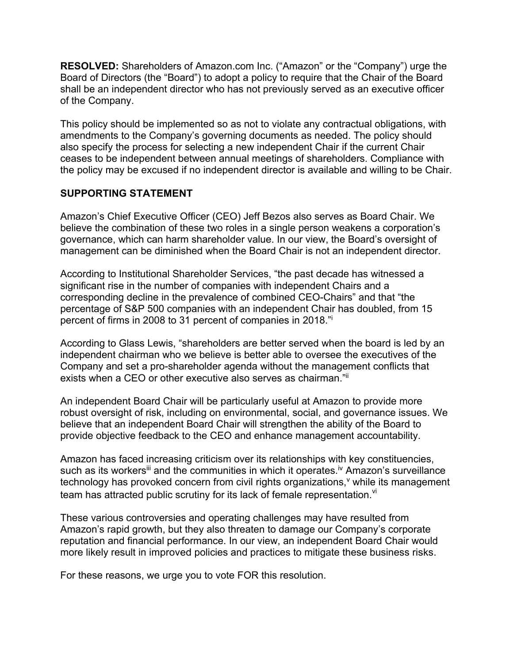**RESOLVED:** Shareholders of Amazon.com Inc. ("Amazon" or the "Company") urge the Board of Directors (the "Board") to adopt a policy to require that the Chair of the Board shall be an independent director who has not previously served as an executive officer of the Company.

This policy should be implemented so as not to violate any contractual obligations, with amendments to the Company's governing documents as needed. The policy should also specify the process for selecting a new independent Chair if the current Chair ceases to be independent between annual meetings of shareholders. Compliance with the policy may be excused if no independent director is available and willing to be Chair.

## **SUPPORTING STATEMENT**

Amazon's Chief Executive Officer (CEO) Jeff Bezos also serves as Board Chair. We believe the combination of these two roles in a single person weakens a corporation's governance, which can harm shareholder value. In our view, the Board's oversight of management can be diminished when the Board Chair is not an independent director.

According to Institutional Shareholder Services, "the past decade has witnessed a significant rise in the number of companies with independent Chairs and a corresponding decline in the prevalence of combined CEO-Chairs" and that "the percentage of S&P 500 companies with an independent Chair has doubled, from 15 percent of firms in 2008 to 31 percent of companies in 2018."i

According to Glass Lewis, "shareholders are better served when the board is led by an independent chairman who we believe is better able to oversee the executives of the Company and set a pro-shareholder agenda without the management conflicts that exists when a CEO or other executive also serves as chairman."ii

An independent Board Chair will be particularly useful at Amazon to provide more robust oversight of risk, including on environmental, social, and governance issues. We believe that an independent Board Chair will strengthen the ability of the Board to provide objective feedback to the CEO and enhance management accountability.

Amazon has faced increasing criticism over its relationships with key constituencies, such as its workers<sup>iii</sup> and the communities in which it operates.<sup>iv</sup> Amazon's surveillance technology has provoked concern from civil rights organizations,<sup>v</sup> while its management team has attracted public scrutiny for its lack of female representation. Vi

These various controversies and operating challenges may have resulted from Amazon's rapid growth, but they also threaten to damage our Company's corporate reputation and financial performance. In our view, an independent Board Chair would more likely result in improved policies and practices to mitigate these business risks.

For these reasons, we urge you to vote FOR this resolution.